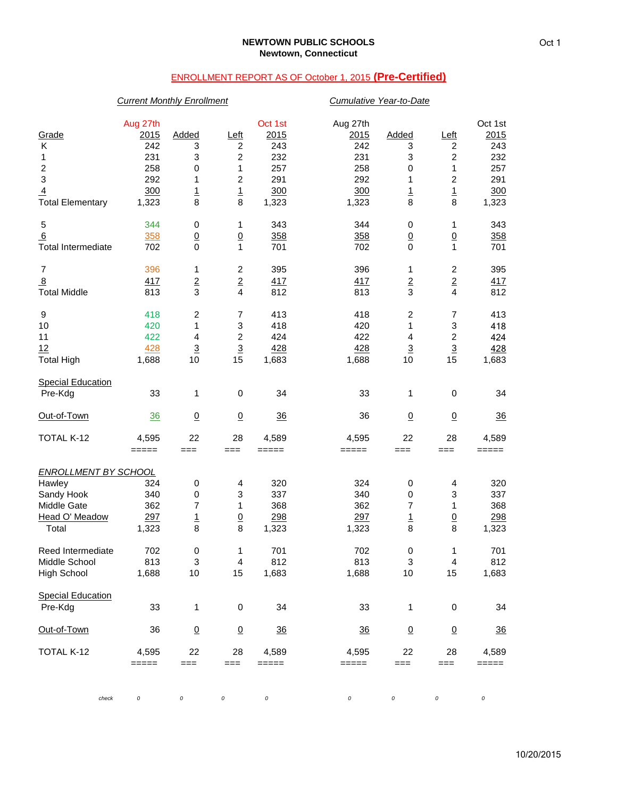# ENROLLMENT REPORT AS OF October 1, 2015 **(Pre-Certified)**

# *Current Monthly Enrollment Cumulative Year-to-Date*

| Grade<br>Κ<br>1<br>$\boldsymbol{2}$<br>$\ensuremath{\mathsf{3}}$<br>$\overline{4}$<br><b>Total Elementary</b> | Aug 27th<br>2015<br>242<br>231<br>258<br>292<br>300<br>1,323 | Added<br>3<br>3<br>$\pmb{0}$<br>1<br>$\frac{1}{8}$            | <u>Left</u><br>2<br>$\boldsymbol{2}$<br>1<br>$\boldsymbol{2}$<br>$\overline{1}$<br>8  | Oct 1st<br>2015<br>243<br>232<br>257<br>291<br>300<br>1,323 | Aug 27th<br>2015<br>242<br>231<br>258<br>292<br>300<br>1,323 | Added<br>3<br>3<br>0<br>1<br>$\frac{1}{8}$ | <u>Left</u><br>2<br>$\boldsymbol{2}$<br>$\mathbf{1}$<br>$\overline{\mathbf{c}}$<br>$\frac{1}{8}$ | Oct 1st<br>2015<br>243<br>232<br>257<br>291<br>300<br>1,323 |
|---------------------------------------------------------------------------------------------------------------|--------------------------------------------------------------|---------------------------------------------------------------|---------------------------------------------------------------------------------------|-------------------------------------------------------------|--------------------------------------------------------------|--------------------------------------------|--------------------------------------------------------------------------------------------------|-------------------------------------------------------------|
| 5<br>6<br><b>Total Intermediate</b>                                                                           | 344<br>358<br>702                                            | 0<br>$\underline{0}$<br>$\mathbf 0$                           | 1<br>$\underline{0}$<br>1                                                             | 343<br>358<br>701                                           | 344<br>358<br>702                                            | 0<br>$\underline{0}$<br>$\mathbf 0$        | 1<br>$\underline{0}$<br>$\mathbf{1}$                                                             | 343<br>358<br>701                                           |
| $\overline{7}$<br>$\overline{8}$<br><b>Total Middle</b>                                                       | 396<br>417<br>813                                            | 1<br>$\overline{2}$<br>3                                      | $\overline{c}$<br>$\overline{2}$<br>4                                                 | 395<br>417<br>812                                           | 396<br>417<br>813                                            | 1<br>$\overline{2}$<br>3                   | $\overline{\mathbf{c}}$<br>$\frac{2}{4}$                                                         | 395<br>417<br>812                                           |
| 9<br>10<br>11<br>12<br><b>Total High</b>                                                                      | 418<br>420<br>422<br><u>428</u><br>1,688                     | $\overline{c}$<br>1<br>$\overline{4}$<br>$\overline{3}$<br>10 | $\overline{7}$<br>$\ensuremath{\mathsf{3}}$<br>$\overline{c}$<br>$\overline{3}$<br>15 | 413<br>418<br>424<br>428<br>1,683                           | 418<br>420<br>422<br>428<br>1,688                            | 2<br>1<br>4<br>$\overline{3}$<br>10        | $\overline{7}$<br>$\ensuremath{\mathsf{3}}$<br>$\boldsymbol{2}$<br>$\overline{3}$<br>15          | 413<br>418<br>424<br>428<br>1,683                           |
| <b>Special Education</b><br>Pre-Kdg                                                                           | 33                                                           | 1                                                             | 0                                                                                     | 34                                                          | 33                                                           | 1                                          | $\pmb{0}$                                                                                        | 34                                                          |
| Out-of-Town                                                                                                   | 36                                                           | $\overline{0}$                                                | $\underline{0}$                                                                       | 36                                                          | 36                                                           | $\underline{0}$                            | $\underline{0}$                                                                                  | 36                                                          |
| TOTAL K-12                                                                                                    | 4,595<br>$=====$                                             | 22<br>$==$                                                    | 28<br>$==$                                                                            | 4,589<br>=====                                              | 4,595<br>=====                                               | 22<br>$==$                                 | 28<br>$==$                                                                                       | 4,589<br>=====                                              |
| <b>ENROLLMENT BY SCHOOL</b><br>Hawley<br>Sandy Hook<br>Middle Gate<br>Head O' Meadow<br>Total                 | 324<br>340<br>362<br>297<br>1,323                            | 0<br>$\pmb{0}$<br>$\overline{7}$<br>$\overline{1}$<br>8       | 4<br>3<br>1<br>$\overline{0}$<br>8                                                    | 320<br>337<br>368<br>298<br>1,323                           | 324<br>340<br>362<br>297<br>1,323                            | 0<br>0<br>7<br>1<br>8                      | 4<br>3<br>1<br>$\underline{0}$<br>8                                                              | 320<br>337<br>368<br>298<br>1,323                           |
| Reed Intermediate<br>Middle School<br><b>High School</b>                                                      | 702<br>813<br>1,688                                          | 0<br>3<br>10                                                  | 1<br>4<br>15                                                                          | 701<br>812<br>1,683                                         | 702<br>813<br>1,688                                          | 0<br>3<br>$10$                             | 1<br>4<br>15                                                                                     | 701<br>812<br>1,683                                         |
| <b>Special Education</b><br>Pre-Kdg                                                                           | 33                                                           | 1                                                             | 0                                                                                     | 34                                                          | 33                                                           | 1                                          | 0                                                                                                | 34                                                          |
| Out-of-Town                                                                                                   | 36                                                           | $\overline{0}$                                                | $\underline{0}$                                                                       | $\frac{36}{5}$                                              | $\frac{36}{5}$                                               | $\overline{0}$                             | $\overline{0}$                                                                                   | $\frac{36}{5}$                                              |
| TOTAL K-12                                                                                                    | 4,595<br>=====                                               | 22<br>$==$                                                    | 28<br>$==$                                                                            | 4,589<br>=====                                              | 4,595<br>=====                                               | 22<br>$==$                                 | 28<br>$==$                                                                                       | 4,589<br>=====                                              |
| check                                                                                                         | 0                                                            | 0                                                             | $\cal O$                                                                              | $\cal O$                                                    | 0                                                            | $\cal O$                                   | 0                                                                                                | 0                                                           |